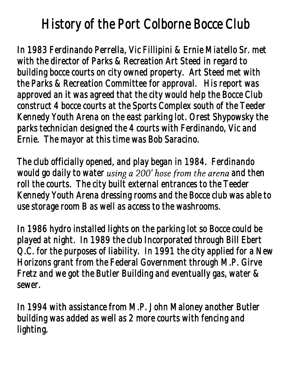## *History of the Port Colborne Bocce Club*

*In 1983 Ferdinando Perrella, Vic Fillipini & Ernie Miatello Sr. met with the director of Parks & Recreation Art Steed in regard to building bocce courts on city owned property. Art Steed met with the Parks & Recreation Committee for approval. His report was approved an it was agreed that the city would help the Bocce Club construct 4 bocce courts at the Sports Complex south of the Teeder Kennedy Youth Arena on the east parking lot. Orest Shypowsky the parks technician designed the 4 courts with Ferdinando, Vic and Ernie. The mayor at this time was Bob Saracino.* 

*The club officially opened, and play began in 1984. Ferdinando would go daily to water using a 200' hose from the arena and then roll the courts. The city built external entrances to the Teeder Kennedy Youth Arena dressing rooms and the Bocce club was able to use storage room B as well as access to the washrooms.* 

*In 1986 hydro installed lights on the parking lot so Bocce could be played at night. In 1989 the club Incorporated through Bill Ebert Q.C. for the purposes of liability. In 1991 the city applied for a New Horizons grant from the Federal Government through M.P. Girve Fretz and we got the Butler Building and eventually gas, water & sewer.* 

*In 1994 with assistance from M.P. John Maloney another Butler building was added as well as 2 more courts with fencing and lighting.*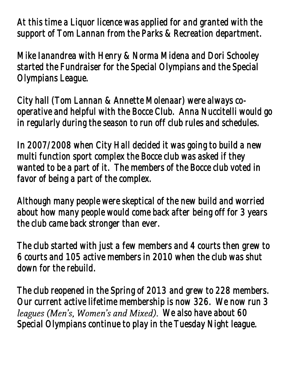*At this time a Liquor licence was applied for and granted with the support of Tom Lannan from the Parks & Recreation department.* 

*Mike Ianandrea with Henry & Norma Midena and Dori Schooley started the Fundraiser for the Special Olympians and the Special Olympians League.* 

*City hall (Tom Lannan & Annette Molenaar) were always cooperative and helpful with the Bocce Club. Anna Nuccitelli would go in regularly during the season to run off club rules and schedules.* 

*In 2007/2008 when City Hall decided it was going to build a new multi function sport complex the Bocce club was asked if they wanted to be a part of it. The members of the Bocce club voted in favor of being a part of the complex.* 

*Although many people were skeptical of the new build and worried about how many people would come back after being off for 3 years the club came back stronger than ever.* 

*The club started with just a few members and 4 courts then grew to 6 courts and 105 active members in 2010 when the club was shut down for the rebuild.* 

*The club reopened in the Spring of 2013 and grew to 228 members. Our current active lifetime membership is now 326. We now run 3*  leagues (Men's, Women's and Mixed). We also have about 60 *Special Olympians continue to play in the Tuesday Night league.*